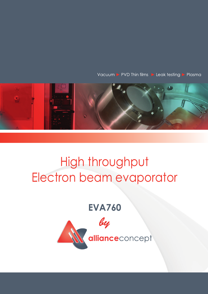Vacuum > PVD Thin films > Leak testing > Plasma



## High throughput Electron beam evaporator

**EVA760**